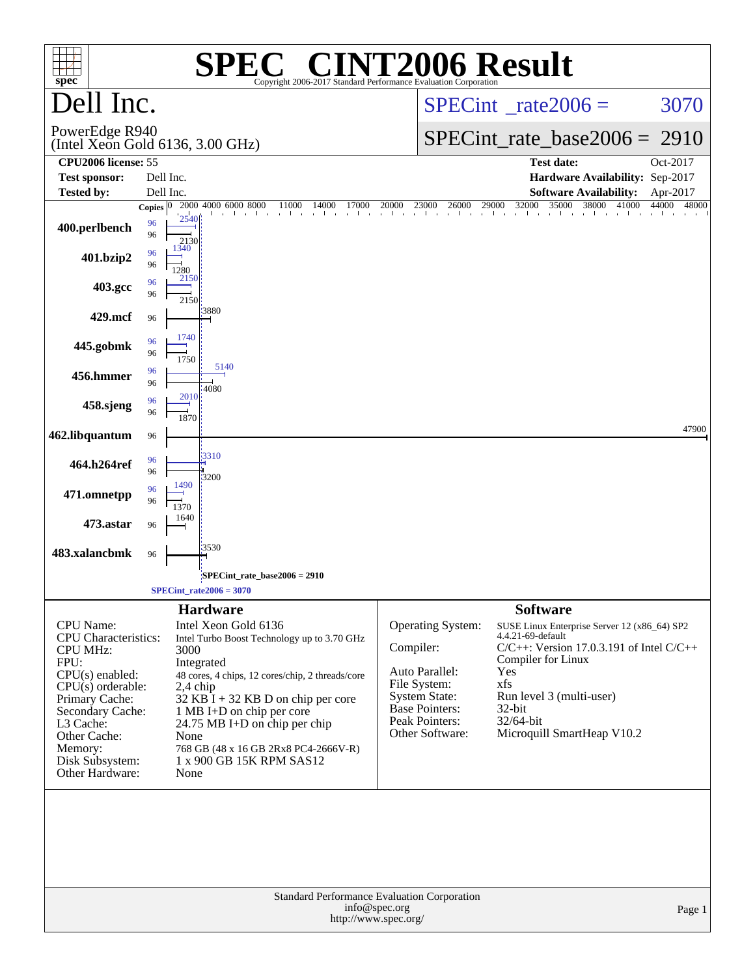| $spec^*$                                                                                                                                                                                                                          | <b>SPEC<sup>®</sup> CINT2006 Result</b><br>Copyright 2006-2017 Standard Performance Evaluation Corporation                                                                                                                                                                                                                                                             |                                                                                                                                                                                                                                                                                                                                                                                                                             |  |  |  |  |
|-----------------------------------------------------------------------------------------------------------------------------------------------------------------------------------------------------------------------------------|------------------------------------------------------------------------------------------------------------------------------------------------------------------------------------------------------------------------------------------------------------------------------------------------------------------------------------------------------------------------|-----------------------------------------------------------------------------------------------------------------------------------------------------------------------------------------------------------------------------------------------------------------------------------------------------------------------------------------------------------------------------------------------------------------------------|--|--|--|--|
| Dell Inc.                                                                                                                                                                                                                         |                                                                                                                                                                                                                                                                                                                                                                        | 3070<br>$SPECint^{\circ}$ rate $2006 =$                                                                                                                                                                                                                                                                                                                                                                                     |  |  |  |  |
| PowerEdge R940                                                                                                                                                                                                                    | (Intel Xeon Gold 6136, 3.00 GHz)                                                                                                                                                                                                                                                                                                                                       | $SPECint_rate\_base2006 =$<br>2910                                                                                                                                                                                                                                                                                                                                                                                          |  |  |  |  |
| CPU <sub>2006</sub> license: 55                                                                                                                                                                                                   |                                                                                                                                                                                                                                                                                                                                                                        | <b>Test date:</b><br>Oct-2017                                                                                                                                                                                                                                                                                                                                                                                               |  |  |  |  |
| <b>Test sponsor:</b><br><b>Tested by:</b>                                                                                                                                                                                         | Dell Inc.<br>Dell Inc.                                                                                                                                                                                                                                                                                                                                                 | Hardware Availability: Sep-2017<br><b>Software Availability:</b><br>Apr-2017                                                                                                                                                                                                                                                                                                                                                |  |  |  |  |
|                                                                                                                                                                                                                                   | 2000 4000 6000 8000<br>11000<br>Copies $ 0 $<br>designed to the                                                                                                                                                                                                                                                                                                        | $\frac{1}{20}$ 14000 17000 20000 23000 26000 29000 32000 35000 38000 41000<br>44000 48000                                                                                                                                                                                                                                                                                                                                   |  |  |  |  |
| 400.perlbench                                                                                                                                                                                                                     | 2540<br>96<br>96<br>2130                                                                                                                                                                                                                                                                                                                                               | and the common                                                                                                                                                                                                                                                                                                                                                                                                              |  |  |  |  |
| 401.bzip2                                                                                                                                                                                                                         | 1340<br>96<br>96<br>1280<br>2150                                                                                                                                                                                                                                                                                                                                       |                                                                                                                                                                                                                                                                                                                                                                                                                             |  |  |  |  |
| 403.gcc                                                                                                                                                                                                                           | 96<br>96<br>2150                                                                                                                                                                                                                                                                                                                                                       |                                                                                                                                                                                                                                                                                                                                                                                                                             |  |  |  |  |
| 429.mcf                                                                                                                                                                                                                           | :3880<br>96                                                                                                                                                                                                                                                                                                                                                            |                                                                                                                                                                                                                                                                                                                                                                                                                             |  |  |  |  |
| 445.gobmk                                                                                                                                                                                                                         | 1740<br>96<br>96<br>1750                                                                                                                                                                                                                                                                                                                                               |                                                                                                                                                                                                                                                                                                                                                                                                                             |  |  |  |  |
| 456.hmmer                                                                                                                                                                                                                         | 5140<br>96<br>96<br>4080                                                                                                                                                                                                                                                                                                                                               |                                                                                                                                                                                                                                                                                                                                                                                                                             |  |  |  |  |
| 458.sjeng                                                                                                                                                                                                                         | 2010<br>96<br>96<br>1870                                                                                                                                                                                                                                                                                                                                               |                                                                                                                                                                                                                                                                                                                                                                                                                             |  |  |  |  |
| 462.libquantum                                                                                                                                                                                                                    | 96                                                                                                                                                                                                                                                                                                                                                                     | 47900                                                                                                                                                                                                                                                                                                                                                                                                                       |  |  |  |  |
| 464.h264ref                                                                                                                                                                                                                       | 3310<br>96<br>96<br>3200                                                                                                                                                                                                                                                                                                                                               |                                                                                                                                                                                                                                                                                                                                                                                                                             |  |  |  |  |
| 471.omnetpp                                                                                                                                                                                                                       | 1490<br>96<br>96<br>1370                                                                                                                                                                                                                                                                                                                                               |                                                                                                                                                                                                                                                                                                                                                                                                                             |  |  |  |  |
| 473.astar                                                                                                                                                                                                                         | 1640<br>96                                                                                                                                                                                                                                                                                                                                                             |                                                                                                                                                                                                                                                                                                                                                                                                                             |  |  |  |  |
| 483.xalancbmk                                                                                                                                                                                                                     | 3530<br>96                                                                                                                                                                                                                                                                                                                                                             |                                                                                                                                                                                                                                                                                                                                                                                                                             |  |  |  |  |
|                                                                                                                                                                                                                                   | SPECint rate base $2006 = 2910$                                                                                                                                                                                                                                                                                                                                        |                                                                                                                                                                                                                                                                                                                                                                                                                             |  |  |  |  |
|                                                                                                                                                                                                                                   | $SPECint_rate2006 = 3070$                                                                                                                                                                                                                                                                                                                                              |                                                                                                                                                                                                                                                                                                                                                                                                                             |  |  |  |  |
| CPU Name:<br><b>CPU</b> Characteristics:<br><b>CPU MHz:</b><br>FPU:<br>CPU(s) enabled:<br>$CPU(s)$ orderable:<br>Primary Cache:<br>Secondary Cache:<br>L3 Cache:<br>Other Cache:<br>Memory:<br>Disk Subsystem:<br>Other Hardware: | <b>Hardware</b><br>Intel Xeon Gold 6136<br>Intel Turbo Boost Technology up to 3.70 GHz<br>3000<br>Integrated<br>48 cores, 4 chips, 12 cores/chip, 2 threads/core<br>2,4 chip<br>$32$ KB I + 32 KB D on chip per core<br>1 MB I+D on chip per core<br>24.75 MB I+D on chip per chip<br>None<br>768 GB (48 x 16 GB 2Rx8 PC4-2666V-R)<br>1 x 900 GB 15K RPM SAS12<br>None | <b>Software</b><br><b>Operating System:</b><br>SUSE Linux Enterprise Server 12 (x86_64) SP2<br>4.4.21-69-default<br>Compiler:<br>$C/C++$ : Version 17.0.3.191 of Intel $C/C++$<br>Compiler for Linux<br>Auto Parallel:<br>Yes<br>File System:<br>xfs<br><b>System State:</b><br>Run level 3 (multi-user)<br><b>Base Pointers:</b><br>32-bit<br>Peak Pointers:<br>32/64-bit<br>Microquill SmartHeap V10.2<br>Other Software: |  |  |  |  |
| Standard Performance Evaluation Corporation<br>info@spec.org<br>Page 1<br>http://www.spec.org/                                                                                                                                    |                                                                                                                                                                                                                                                                                                                                                                        |                                                                                                                                                                                                                                                                                                                                                                                                                             |  |  |  |  |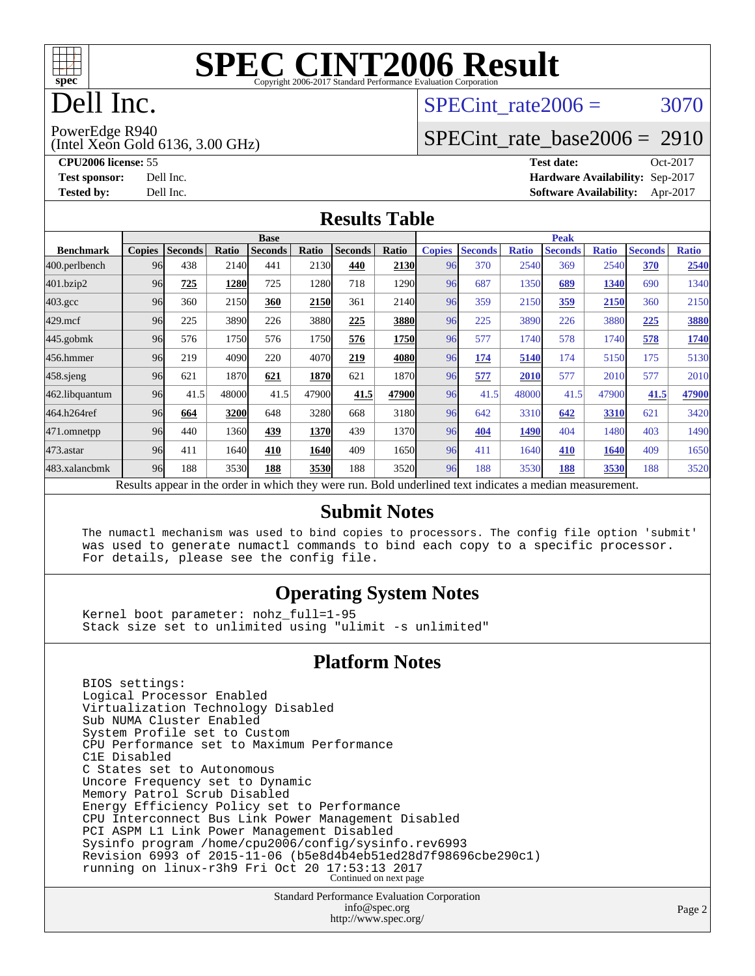

# Dell Inc.

#### SPECint rate $2006 = 3070$

(Intel Xeon Gold 6136, 3.00 GHz) PowerEdge R940

[SPECint\\_rate\\_base2006 =](http://www.spec.org/auto/cpu2006/Docs/result-fields.html#SPECintratebase2006) 2910

**[CPU2006 license:](http://www.spec.org/auto/cpu2006/Docs/result-fields.html#CPU2006license)** 55 **[Test date:](http://www.spec.org/auto/cpu2006/Docs/result-fields.html#Testdate)** Oct-2017 **[Test sponsor:](http://www.spec.org/auto/cpu2006/Docs/result-fields.html#Testsponsor)** Dell Inc. **[Hardware Availability:](http://www.spec.org/auto/cpu2006/Docs/result-fields.html#HardwareAvailability)** Sep-2017 **[Tested by:](http://www.spec.org/auto/cpu2006/Docs/result-fields.html#Testedby)** Dell Inc. **[Software Availability:](http://www.spec.org/auto/cpu2006/Docs/result-fields.html#SoftwareAvailability)** Apr-2017

#### **[Results Table](http://www.spec.org/auto/cpu2006/Docs/result-fields.html#ResultsTable)**

|                    | <b>Base</b>                                                                                              |                |       |                |       |                |             | <b>Peak</b>   |                |              |                |              |                |              |
|--------------------|----------------------------------------------------------------------------------------------------------|----------------|-------|----------------|-------|----------------|-------------|---------------|----------------|--------------|----------------|--------------|----------------|--------------|
| <b>Benchmark</b>   | <b>Copies</b>                                                                                            | <b>Seconds</b> | Ratio | <b>Seconds</b> | Ratio | <b>Seconds</b> | Ratio       | <b>Copies</b> | <b>Seconds</b> | <b>Ratio</b> | <b>Seconds</b> | <b>Ratio</b> | <b>Seconds</b> | <b>Ratio</b> |
| 400.perlbench      | 96                                                                                                       | 438            | 2140  | 441            | 2130  | 440            | 2130        | 96            | 370            | 2540         | 369            | 2540         | 370            | 2540         |
| 401.bzip2          | 96                                                                                                       | 725            | 1280  | 725            | 1280  | 718            | 1290        | 96            | 687            | 1350         | 689            | 1340         | 690            | 1340         |
| $403.\mathrm{gcc}$ | 96                                                                                                       | 360            | 2150  | 360            | 2150  | 361            | 2140        | 96            | 359            | 2150         | 359            | 2150         | 360            | 2150         |
| $429$ .mcf         | 96                                                                                                       | 225            | 3890  | 226            | 3880  | 225            | <b>3880</b> | 96            | 225            | 3890         | 226            | 3880         | 225            | 3880         |
| $445$ .gobmk       | 96                                                                                                       | 576            | 1750  | 576            | 1750  | 576            | 1750        | 96            | 577            | 1740         | 578            | 1740         | 578            | 1740         |
| 456.hmmer          | 96                                                                                                       | 219            | 4090  | 220            | 4070  | 219            | 4080        | 96            | 174            | 5140         | 174            | 5150         | 175            | 5130         |
| $458$ .sjeng       | 96                                                                                                       | 621            | 1870  | 621            | 1870  | 621            | 1870        | 96            | 577            | 2010         | 577            | 2010         | 577            | 2010         |
| 462.libquantum     | 96                                                                                                       | 41.5           | 48000 | 41.5           | 47900 | 41.5           | 47900       | 96            | 41.5           | 48000        | 41.5           | 47900        | 41.5           | 47900        |
| 464.h264ref        | 96                                                                                                       | 664            | 3200  | 648            | 3280  | 668            | 3180        | 96            | 642            | 3310         | 642            | 3310         | 621            | 3420         |
| 471.omnetpp        | 96                                                                                                       | 440            | 1360  | 439            | 1370  | 439            | 1370        | 96            | 404            | 1490         | 404            | 1480         | 403            | 1490         |
| $473$ . astar      | 96                                                                                                       | 411            | 1640  | 410            | 1640  | 409            | 1650        | 96            | 411            | 1640         | 410            | 1640         | 409            | 1650         |
| 483.xalancbmk      | 96                                                                                                       | 188            | 3530  | 188            | 3530  | 188            | 3520        | 96            | 188            | 3530         | 188            | 3530         | 188            | 3520         |
|                    | Results appear in the order in which they were run. Bold underlined text indicates a median measurement. |                |       |                |       |                |             |               |                |              |                |              |                |              |

#### **[Submit Notes](http://www.spec.org/auto/cpu2006/Docs/result-fields.html#SubmitNotes)**

 The numactl mechanism was used to bind copies to processors. The config file option 'submit' was used to generate numactl commands to bind each copy to a specific processor. For details, please see the config file.

#### **[Operating System Notes](http://www.spec.org/auto/cpu2006/Docs/result-fields.html#OperatingSystemNotes)**

 Kernel boot parameter: nohz\_full=1-95 Stack size set to unlimited using "ulimit -s unlimited"

#### **[Platform Notes](http://www.spec.org/auto/cpu2006/Docs/result-fields.html#PlatformNotes)**

 BIOS settings: Logical Processor Enabled Virtualization Technology Disabled Sub NUMA Cluster Enabled System Profile set to Custom CPU Performance set to Maximum Performance C1E Disabled C States set to Autonomous Uncore Frequency set to Dynamic Memory Patrol Scrub Disabled Energy Efficiency Policy set to Performance CPU Interconnect Bus Link Power Management Disabled PCI ASPM L1 Link Power Management Disabled Sysinfo program /home/cpu2006/config/sysinfo.rev6993 Revision 6993 of 2015-11-06 (b5e8d4b4eb51ed28d7f98696cbe290c1) running on linux-r3h9 Fri Oct 20 17:53:13 2017 Continued on next page

> Standard Performance Evaluation Corporation [info@spec.org](mailto:info@spec.org) <http://www.spec.org/>

Page 2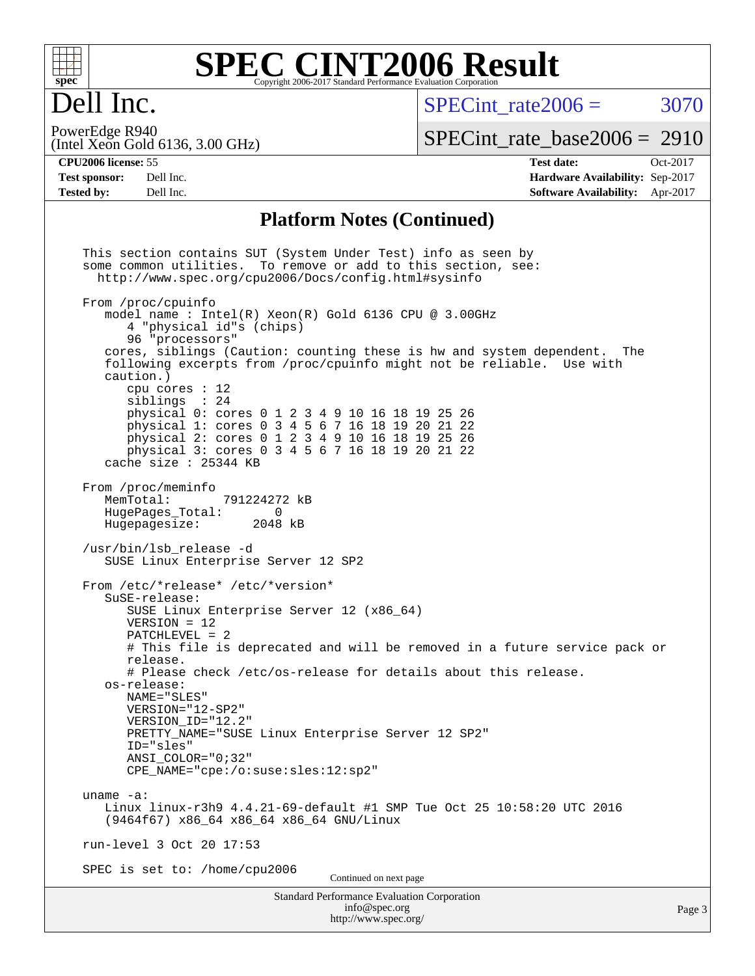

# Dell Inc.

SPECint rate $2006 = 3070$ 

(Intel Xeon Gold 6136, 3.00 GHz) PowerEdge R940

[SPECint\\_rate\\_base2006 =](http://www.spec.org/auto/cpu2006/Docs/result-fields.html#SPECintratebase2006) 2910

**[CPU2006 license:](http://www.spec.org/auto/cpu2006/Docs/result-fields.html#CPU2006license)** 55 **[Test date:](http://www.spec.org/auto/cpu2006/Docs/result-fields.html#Testdate)** Oct-2017 **[Test sponsor:](http://www.spec.org/auto/cpu2006/Docs/result-fields.html#Testsponsor)** Dell Inc. **[Hardware Availability:](http://www.spec.org/auto/cpu2006/Docs/result-fields.html#HardwareAvailability)** Sep-2017 **[Tested by:](http://www.spec.org/auto/cpu2006/Docs/result-fields.html#Testedby)** Dell Inc. **[Software Availability:](http://www.spec.org/auto/cpu2006/Docs/result-fields.html#SoftwareAvailability)** Apr-2017

#### **[Platform Notes \(Continued\)](http://www.spec.org/auto/cpu2006/Docs/result-fields.html#PlatformNotes)**

Standard Performance Evaluation Corporation [info@spec.org](mailto:info@spec.org) <http://www.spec.org/> Page 3 This section contains SUT (System Under Test) info as seen by some common utilities. To remove or add to this section, see: <http://www.spec.org/cpu2006/Docs/config.html#sysinfo> From /proc/cpuinfo model name : Intel(R) Xeon(R) Gold 6136 CPU @ 3.00GHz 4 "physical id"s (chips) 96 "processors" cores, siblings (Caution: counting these is hw and system dependent. The following excerpts from /proc/cpuinfo might not be reliable. Use with caution.) cpu cores : 12 siblings : 24 physical 0: cores 0 1 2 3 4 9 10 16 18 19 25 26 physical 1: cores 0 3 4 5 6 7 16 18 19 20 21 22 physical 2: cores 0 1 2 3 4 9 10 16 18 19 25 26 physical 3: cores 0 3 4 5 6 7 16 18 19 20 21 22 cache size : 25344 KB From /proc/meminfo MemTotal: 791224272 kB HugePages\_Total: 0 Hugepagesize: 2048 kB /usr/bin/lsb\_release -d SUSE Linux Enterprise Server 12 SP2 From /etc/\*release\* /etc/\*version\* SuSE-release: SUSE Linux Enterprise Server 12 (x86\_64) VERSION = 12 PATCHLEVEL = 2 # This file is deprecated and will be removed in a future service pack or release. # Please check /etc/os-release for details about this release. os-release: NAME="SLES" VERSION="12-SP2" VERSION\_ID="12.2" PRETTY\_NAME="SUSE Linux Enterprise Server 12 SP2" ID="sles" ANSI\_COLOR="0;32" CPE\_NAME="cpe:/o:suse:sles:12:sp2" uname -a: Linux linux-r3h9 4.4.21-69-default #1 SMP Tue Oct 25 10:58:20 UTC 2016 (9464f67) x86\_64 x86\_64 x86\_64 GNU/Linux run-level 3 Oct 20 17:53 SPEC is set to: /home/cpu2006 Continued on next page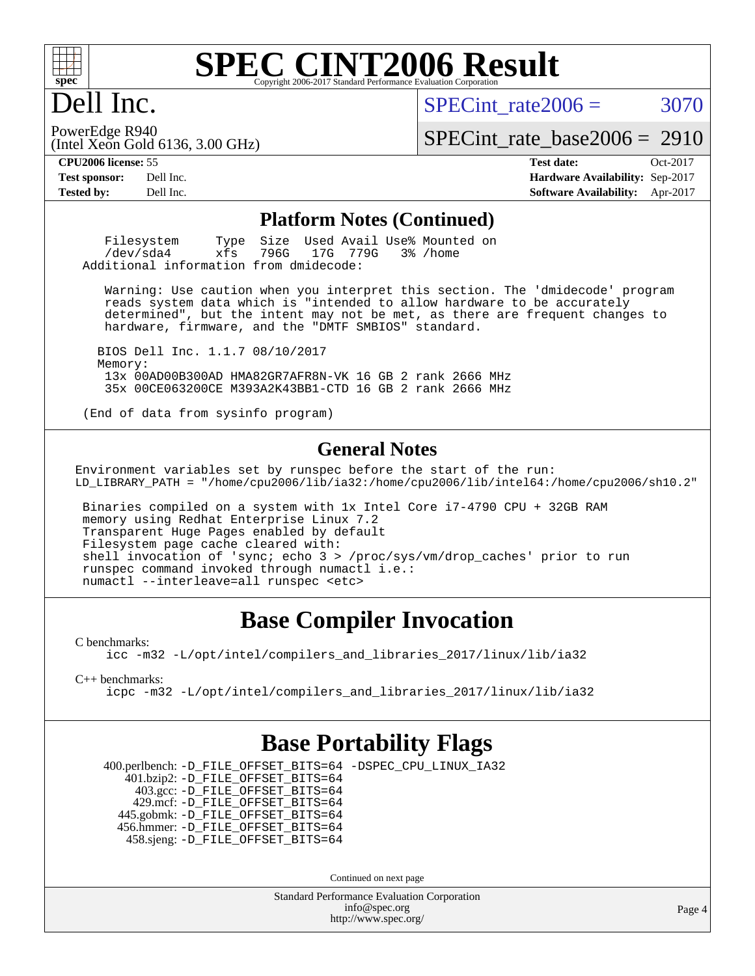

## Dell Inc.

PowerEdge R940

SPECint rate $2006 = 3070$ 

[SPECint\\_rate\\_base2006 =](http://www.spec.org/auto/cpu2006/Docs/result-fields.html#SPECintratebase2006) 2910

(Intel Xeon Gold 6136, 3.00 GHz)

**[CPU2006 license:](http://www.spec.org/auto/cpu2006/Docs/result-fields.html#CPU2006license)** 55 **[Test date:](http://www.spec.org/auto/cpu2006/Docs/result-fields.html#Testdate)** Oct-2017 **[Test sponsor:](http://www.spec.org/auto/cpu2006/Docs/result-fields.html#Testsponsor)** Dell Inc. **[Hardware Availability:](http://www.spec.org/auto/cpu2006/Docs/result-fields.html#HardwareAvailability)** Sep-2017 **[Tested by:](http://www.spec.org/auto/cpu2006/Docs/result-fields.html#Testedby)** Dell Inc. **[Software Availability:](http://www.spec.org/auto/cpu2006/Docs/result-fields.html#SoftwareAvailability)** Apr-2017

#### **[Platform Notes \(Continued\)](http://www.spec.org/auto/cpu2006/Docs/result-fields.html#PlatformNotes)**

Filesystem Type Size Used Avail Use% Mounted on<br>
/dev/sda4 xfs 796G 17G 779G 3% /home 17G 779G Additional information from dmidecode:

 Warning: Use caution when you interpret this section. The 'dmidecode' program reads system data which is "intended to allow hardware to be accurately determined", but the intent may not be met, as there are frequent changes to hardware, firmware, and the "DMTF SMBIOS" standard.

 BIOS Dell Inc. 1.1.7 08/10/2017 Memory: 13x 00AD00B300AD HMA82GR7AFR8N-VK 16 GB 2 rank 2666 MHz 35x 00CE063200CE M393A2K43BB1-CTD 16 GB 2 rank 2666 MHz

(End of data from sysinfo program)

#### **[General Notes](http://www.spec.org/auto/cpu2006/Docs/result-fields.html#GeneralNotes)**

Environment variables set by runspec before the start of the run: LD\_LIBRARY\_PATH = "/home/cpu2006/lib/ia32:/home/cpu2006/lib/intel64:/home/cpu2006/sh10.2"

 Binaries compiled on a system with 1x Intel Core i7-4790 CPU + 32GB RAM memory using Redhat Enterprise Linux 7.2 Transparent Huge Pages enabled by default Filesystem page cache cleared with: shell invocation of 'sync; echo 3 > /proc/sys/vm/drop\_caches' prior to run runspec command invoked through numactl i.e.: numactl --interleave=all runspec <etc>

#### **[Base Compiler Invocation](http://www.spec.org/auto/cpu2006/Docs/result-fields.html#BaseCompilerInvocation)**

[C benchmarks](http://www.spec.org/auto/cpu2006/Docs/result-fields.html#Cbenchmarks):

[icc -m32 -L/opt/intel/compilers\\_and\\_libraries\\_2017/linux/lib/ia32](http://www.spec.org/cpu2006/results/res2017q4/cpu2006-20171114-50550.flags.html#user_CCbase_intel_icc_c29f3ff5a7ed067b11e4ec10a03f03ae)

[C++ benchmarks:](http://www.spec.org/auto/cpu2006/Docs/result-fields.html#CXXbenchmarks)

[icpc -m32 -L/opt/intel/compilers\\_and\\_libraries\\_2017/linux/lib/ia32](http://www.spec.org/cpu2006/results/res2017q4/cpu2006-20171114-50550.flags.html#user_CXXbase_intel_icpc_8c35c7808b62dab9ae41a1aa06361b6b)

#### **[Base Portability Flags](http://www.spec.org/auto/cpu2006/Docs/result-fields.html#BasePortabilityFlags)**

 400.perlbench: [-D\\_FILE\\_OFFSET\\_BITS=64](http://www.spec.org/cpu2006/results/res2017q4/cpu2006-20171114-50550.flags.html#user_basePORTABILITY400_perlbench_file_offset_bits_64_438cf9856305ebd76870a2c6dc2689ab) [-DSPEC\\_CPU\\_LINUX\\_IA32](http://www.spec.org/cpu2006/results/res2017q4/cpu2006-20171114-50550.flags.html#b400.perlbench_baseCPORTABILITY_DSPEC_CPU_LINUX_IA32) 401.bzip2: [-D\\_FILE\\_OFFSET\\_BITS=64](http://www.spec.org/cpu2006/results/res2017q4/cpu2006-20171114-50550.flags.html#user_basePORTABILITY401_bzip2_file_offset_bits_64_438cf9856305ebd76870a2c6dc2689ab) 403.gcc: [-D\\_FILE\\_OFFSET\\_BITS=64](http://www.spec.org/cpu2006/results/res2017q4/cpu2006-20171114-50550.flags.html#user_basePORTABILITY403_gcc_file_offset_bits_64_438cf9856305ebd76870a2c6dc2689ab) 429.mcf: [-D\\_FILE\\_OFFSET\\_BITS=64](http://www.spec.org/cpu2006/results/res2017q4/cpu2006-20171114-50550.flags.html#user_basePORTABILITY429_mcf_file_offset_bits_64_438cf9856305ebd76870a2c6dc2689ab) 445.gobmk: [-D\\_FILE\\_OFFSET\\_BITS=64](http://www.spec.org/cpu2006/results/res2017q4/cpu2006-20171114-50550.flags.html#user_basePORTABILITY445_gobmk_file_offset_bits_64_438cf9856305ebd76870a2c6dc2689ab) 456.hmmer: [-D\\_FILE\\_OFFSET\\_BITS=64](http://www.spec.org/cpu2006/results/res2017q4/cpu2006-20171114-50550.flags.html#user_basePORTABILITY456_hmmer_file_offset_bits_64_438cf9856305ebd76870a2c6dc2689ab) 458.sjeng: [-D\\_FILE\\_OFFSET\\_BITS=64](http://www.spec.org/cpu2006/results/res2017q4/cpu2006-20171114-50550.flags.html#user_basePORTABILITY458_sjeng_file_offset_bits_64_438cf9856305ebd76870a2c6dc2689ab)

Continued on next page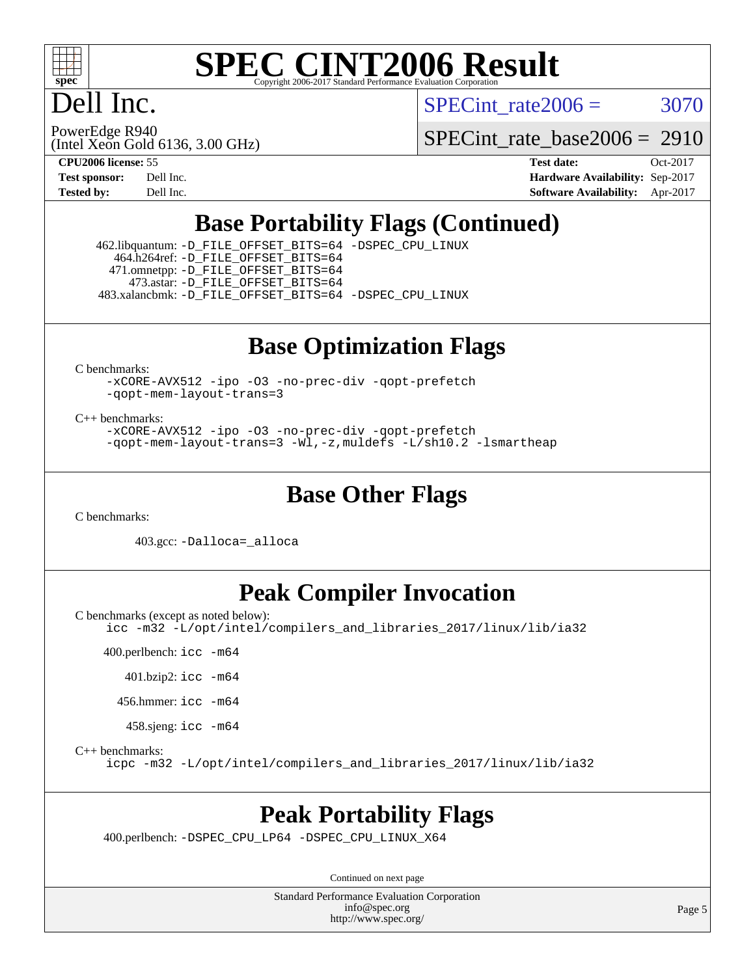

## Dell Inc.

SPECint rate $2006 = 3070$ 

(Intel Xeon Gold 6136, 3.00 GHz) PowerEdge R940

[SPECint\\_rate\\_base2006 =](http://www.spec.org/auto/cpu2006/Docs/result-fields.html#SPECintratebase2006) 2910

**[CPU2006 license:](http://www.spec.org/auto/cpu2006/Docs/result-fields.html#CPU2006license)** 55 **[Test date:](http://www.spec.org/auto/cpu2006/Docs/result-fields.html#Testdate)** Oct-2017 **[Test sponsor:](http://www.spec.org/auto/cpu2006/Docs/result-fields.html#Testsponsor)** Dell Inc. **[Hardware Availability:](http://www.spec.org/auto/cpu2006/Docs/result-fields.html#HardwareAvailability)** Sep-2017 **[Tested by:](http://www.spec.org/auto/cpu2006/Docs/result-fields.html#Testedby)** Dell Inc. **[Software Availability:](http://www.spec.org/auto/cpu2006/Docs/result-fields.html#SoftwareAvailability)** Apr-2017

## **[Base Portability Flags \(Continued\)](http://www.spec.org/auto/cpu2006/Docs/result-fields.html#BasePortabilityFlags)**

 462.libquantum: [-D\\_FILE\\_OFFSET\\_BITS=64](http://www.spec.org/cpu2006/results/res2017q4/cpu2006-20171114-50550.flags.html#user_basePORTABILITY462_libquantum_file_offset_bits_64_438cf9856305ebd76870a2c6dc2689ab) [-DSPEC\\_CPU\\_LINUX](http://www.spec.org/cpu2006/results/res2017q4/cpu2006-20171114-50550.flags.html#b462.libquantum_baseCPORTABILITY_DSPEC_CPU_LINUX) 464.h264ref: [-D\\_FILE\\_OFFSET\\_BITS=64](http://www.spec.org/cpu2006/results/res2017q4/cpu2006-20171114-50550.flags.html#user_basePORTABILITY464_h264ref_file_offset_bits_64_438cf9856305ebd76870a2c6dc2689ab) 471.omnetpp: [-D\\_FILE\\_OFFSET\\_BITS=64](http://www.spec.org/cpu2006/results/res2017q4/cpu2006-20171114-50550.flags.html#user_basePORTABILITY471_omnetpp_file_offset_bits_64_438cf9856305ebd76870a2c6dc2689ab) 473.astar: [-D\\_FILE\\_OFFSET\\_BITS=64](http://www.spec.org/cpu2006/results/res2017q4/cpu2006-20171114-50550.flags.html#user_basePORTABILITY473_astar_file_offset_bits_64_438cf9856305ebd76870a2c6dc2689ab) 483.xalancbmk: [-D\\_FILE\\_OFFSET\\_BITS=64](http://www.spec.org/cpu2006/results/res2017q4/cpu2006-20171114-50550.flags.html#user_basePORTABILITY483_xalancbmk_file_offset_bits_64_438cf9856305ebd76870a2c6dc2689ab) [-DSPEC\\_CPU\\_LINUX](http://www.spec.org/cpu2006/results/res2017q4/cpu2006-20171114-50550.flags.html#b483.xalancbmk_baseCXXPORTABILITY_DSPEC_CPU_LINUX)

#### **[Base Optimization Flags](http://www.spec.org/auto/cpu2006/Docs/result-fields.html#BaseOptimizationFlags)**

[C benchmarks](http://www.spec.org/auto/cpu2006/Docs/result-fields.html#Cbenchmarks):

[-xCORE-AVX512](http://www.spec.org/cpu2006/results/res2017q4/cpu2006-20171114-50550.flags.html#user_CCbase_f-xCORE-AVX512) [-ipo](http://www.spec.org/cpu2006/results/res2017q4/cpu2006-20171114-50550.flags.html#user_CCbase_f-ipo) [-O3](http://www.spec.org/cpu2006/results/res2017q4/cpu2006-20171114-50550.flags.html#user_CCbase_f-O3) [-no-prec-div](http://www.spec.org/cpu2006/results/res2017q4/cpu2006-20171114-50550.flags.html#user_CCbase_f-no-prec-div) [-qopt-prefetch](http://www.spec.org/cpu2006/results/res2017q4/cpu2006-20171114-50550.flags.html#user_CCbase_f-qopt-prefetch) [-qopt-mem-layout-trans=3](http://www.spec.org/cpu2006/results/res2017q4/cpu2006-20171114-50550.flags.html#user_CCbase_f-qopt-mem-layout-trans_170f5be61cd2cedc9b54468c59262d5d)

[C++ benchmarks:](http://www.spec.org/auto/cpu2006/Docs/result-fields.html#CXXbenchmarks)

[-xCORE-AVX512](http://www.spec.org/cpu2006/results/res2017q4/cpu2006-20171114-50550.flags.html#user_CXXbase_f-xCORE-AVX512) [-ipo](http://www.spec.org/cpu2006/results/res2017q4/cpu2006-20171114-50550.flags.html#user_CXXbase_f-ipo) [-O3](http://www.spec.org/cpu2006/results/res2017q4/cpu2006-20171114-50550.flags.html#user_CXXbase_f-O3) [-no-prec-div](http://www.spec.org/cpu2006/results/res2017q4/cpu2006-20171114-50550.flags.html#user_CXXbase_f-no-prec-div) [-qopt-prefetch](http://www.spec.org/cpu2006/results/res2017q4/cpu2006-20171114-50550.flags.html#user_CXXbase_f-qopt-prefetch) [-qopt-mem-layout-trans=3](http://www.spec.org/cpu2006/results/res2017q4/cpu2006-20171114-50550.flags.html#user_CXXbase_f-qopt-mem-layout-trans_170f5be61cd2cedc9b54468c59262d5d) [-Wl,-z,muldefs](http://www.spec.org/cpu2006/results/res2017q4/cpu2006-20171114-50550.flags.html#user_CXXbase_link_force_multiple1_74079c344b956b9658436fd1b6dd3a8a) [-L/sh10.2 -lsmartheap](http://www.spec.org/cpu2006/results/res2017q4/cpu2006-20171114-50550.flags.html#user_CXXbase_SmartHeap_b831f2d313e2fffa6dfe3f00ffc1f1c0)

#### **[Base Other Flags](http://www.spec.org/auto/cpu2006/Docs/result-fields.html#BaseOtherFlags)**

[C benchmarks](http://www.spec.org/auto/cpu2006/Docs/result-fields.html#Cbenchmarks):

403.gcc: [-Dalloca=\\_alloca](http://www.spec.org/cpu2006/results/res2017q4/cpu2006-20171114-50550.flags.html#b403.gcc_baseEXTRA_CFLAGS_Dalloca_be3056838c12de2578596ca5467af7f3)

#### **[Peak Compiler Invocation](http://www.spec.org/auto/cpu2006/Docs/result-fields.html#PeakCompilerInvocation)**

[C benchmarks \(except as noted below\)](http://www.spec.org/auto/cpu2006/Docs/result-fields.html#Cbenchmarksexceptasnotedbelow):

[icc -m32 -L/opt/intel/compilers\\_and\\_libraries\\_2017/linux/lib/ia32](http://www.spec.org/cpu2006/results/res2017q4/cpu2006-20171114-50550.flags.html#user_CCpeak_intel_icc_c29f3ff5a7ed067b11e4ec10a03f03ae)

400.perlbench: [icc -m64](http://www.spec.org/cpu2006/results/res2017q4/cpu2006-20171114-50550.flags.html#user_peakCCLD400_perlbench_intel_icc_64bit_bda6cc9af1fdbb0edc3795bac97ada53)

401.bzip2: [icc -m64](http://www.spec.org/cpu2006/results/res2017q4/cpu2006-20171114-50550.flags.html#user_peakCCLD401_bzip2_intel_icc_64bit_bda6cc9af1fdbb0edc3795bac97ada53)

456.hmmer: [icc -m64](http://www.spec.org/cpu2006/results/res2017q4/cpu2006-20171114-50550.flags.html#user_peakCCLD456_hmmer_intel_icc_64bit_bda6cc9af1fdbb0edc3795bac97ada53)

458.sjeng: [icc -m64](http://www.spec.org/cpu2006/results/res2017q4/cpu2006-20171114-50550.flags.html#user_peakCCLD458_sjeng_intel_icc_64bit_bda6cc9af1fdbb0edc3795bac97ada53)

[C++ benchmarks:](http://www.spec.org/auto/cpu2006/Docs/result-fields.html#CXXbenchmarks)

[icpc -m32 -L/opt/intel/compilers\\_and\\_libraries\\_2017/linux/lib/ia32](http://www.spec.org/cpu2006/results/res2017q4/cpu2006-20171114-50550.flags.html#user_CXXpeak_intel_icpc_8c35c7808b62dab9ae41a1aa06361b6b)

#### **[Peak Portability Flags](http://www.spec.org/auto/cpu2006/Docs/result-fields.html#PeakPortabilityFlags)**

400.perlbench: [-DSPEC\\_CPU\\_LP64](http://www.spec.org/cpu2006/results/res2017q4/cpu2006-20171114-50550.flags.html#b400.perlbench_peakCPORTABILITY_DSPEC_CPU_LP64) [-DSPEC\\_CPU\\_LINUX\\_X64](http://www.spec.org/cpu2006/results/res2017q4/cpu2006-20171114-50550.flags.html#b400.perlbench_peakCPORTABILITY_DSPEC_CPU_LINUX_X64)

Continued on next page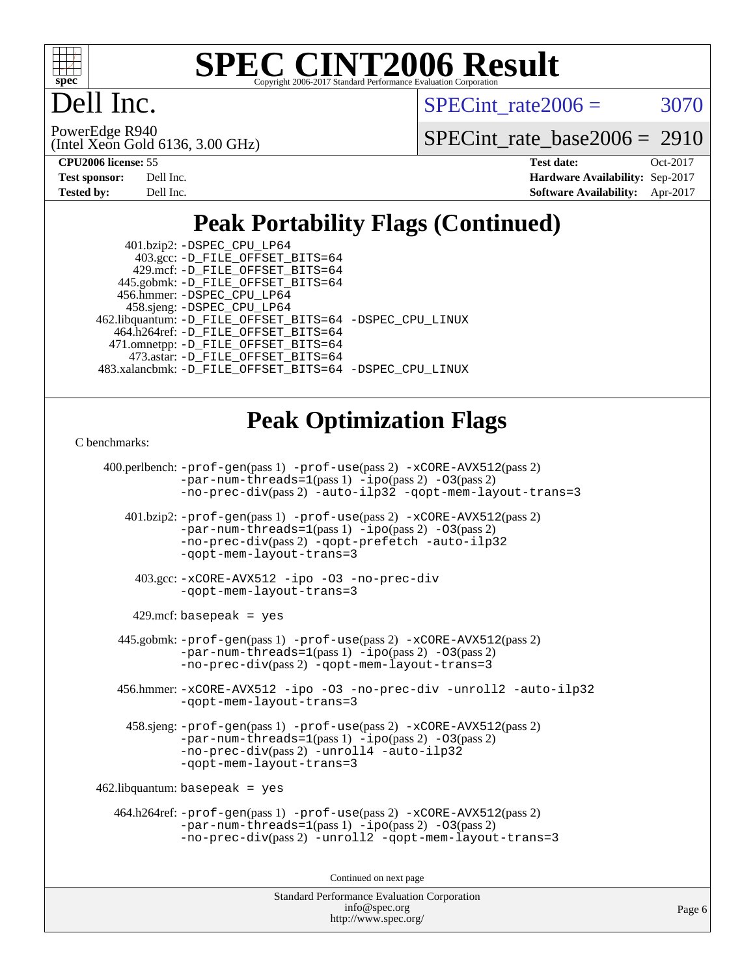

## ell Inc.

SPECint rate $2006 = 3070$ 

(Intel Xeon Gold 6136, 3.00 GHz) PowerEdge R940

[SPECint\\_rate\\_base2006 =](http://www.spec.org/auto/cpu2006/Docs/result-fields.html#SPECintratebase2006) 2910

| <b>Test sponsor:</b> | Dell Inc. |
|----------------------|-----------|
| <b>Tested by:</b>    | Dell Inc. |

**[CPU2006 license:](http://www.spec.org/auto/cpu2006/Docs/result-fields.html#CPU2006license)** 55 **[Test date:](http://www.spec.org/auto/cpu2006/Docs/result-fields.html#Testdate)** Oct-2017 **[Hardware Availability:](http://www.spec.org/auto/cpu2006/Docs/result-fields.html#HardwareAvailability)** Sep-2017 **[Software Availability:](http://www.spec.org/auto/cpu2006/Docs/result-fields.html#SoftwareAvailability)** Apr-2017

## **[Peak Portability Flags \(Continued\)](http://www.spec.org/auto/cpu2006/Docs/result-fields.html#PeakPortabilityFlags)**

 401.bzip2: [-DSPEC\\_CPU\\_LP64](http://www.spec.org/cpu2006/results/res2017q4/cpu2006-20171114-50550.flags.html#suite_peakCPORTABILITY401_bzip2_DSPEC_CPU_LP64) 403.gcc: [-D\\_FILE\\_OFFSET\\_BITS=64](http://www.spec.org/cpu2006/results/res2017q4/cpu2006-20171114-50550.flags.html#user_peakPORTABILITY403_gcc_file_offset_bits_64_438cf9856305ebd76870a2c6dc2689ab) 429.mcf: [-D\\_FILE\\_OFFSET\\_BITS=64](http://www.spec.org/cpu2006/results/res2017q4/cpu2006-20171114-50550.flags.html#user_peakPORTABILITY429_mcf_file_offset_bits_64_438cf9856305ebd76870a2c6dc2689ab) 445.gobmk: [-D\\_FILE\\_OFFSET\\_BITS=64](http://www.spec.org/cpu2006/results/res2017q4/cpu2006-20171114-50550.flags.html#user_peakPORTABILITY445_gobmk_file_offset_bits_64_438cf9856305ebd76870a2c6dc2689ab) 456.hmmer: [-DSPEC\\_CPU\\_LP64](http://www.spec.org/cpu2006/results/res2017q4/cpu2006-20171114-50550.flags.html#suite_peakCPORTABILITY456_hmmer_DSPEC_CPU_LP64) 458.sjeng: [-DSPEC\\_CPU\\_LP64](http://www.spec.org/cpu2006/results/res2017q4/cpu2006-20171114-50550.flags.html#suite_peakCPORTABILITY458_sjeng_DSPEC_CPU_LP64) 462.libquantum: [-D\\_FILE\\_OFFSET\\_BITS=64](http://www.spec.org/cpu2006/results/res2017q4/cpu2006-20171114-50550.flags.html#user_peakPORTABILITY462_libquantum_file_offset_bits_64_438cf9856305ebd76870a2c6dc2689ab) [-DSPEC\\_CPU\\_LINUX](http://www.spec.org/cpu2006/results/res2017q4/cpu2006-20171114-50550.flags.html#b462.libquantum_peakCPORTABILITY_DSPEC_CPU_LINUX) 464.h264ref: [-D\\_FILE\\_OFFSET\\_BITS=64](http://www.spec.org/cpu2006/results/res2017q4/cpu2006-20171114-50550.flags.html#user_peakPORTABILITY464_h264ref_file_offset_bits_64_438cf9856305ebd76870a2c6dc2689ab) 471.omnetpp: [-D\\_FILE\\_OFFSET\\_BITS=64](http://www.spec.org/cpu2006/results/res2017q4/cpu2006-20171114-50550.flags.html#user_peakPORTABILITY471_omnetpp_file_offset_bits_64_438cf9856305ebd76870a2c6dc2689ab) 473.astar: [-D\\_FILE\\_OFFSET\\_BITS=64](http://www.spec.org/cpu2006/results/res2017q4/cpu2006-20171114-50550.flags.html#user_peakPORTABILITY473_astar_file_offset_bits_64_438cf9856305ebd76870a2c6dc2689ab) 483.xalancbmk: [-D\\_FILE\\_OFFSET\\_BITS=64](http://www.spec.org/cpu2006/results/res2017q4/cpu2006-20171114-50550.flags.html#user_peakPORTABILITY483_xalancbmk_file_offset_bits_64_438cf9856305ebd76870a2c6dc2689ab) [-DSPEC\\_CPU\\_LINUX](http://www.spec.org/cpu2006/results/res2017q4/cpu2006-20171114-50550.flags.html#b483.xalancbmk_peakCXXPORTABILITY_DSPEC_CPU_LINUX)

## **[Peak Optimization Flags](http://www.spec.org/auto/cpu2006/Docs/result-fields.html#PeakOptimizationFlags)**

#### [C benchmarks](http://www.spec.org/auto/cpu2006/Docs/result-fields.html#Cbenchmarks):

 400.perlbench: [-prof-gen](http://www.spec.org/cpu2006/results/res2017q4/cpu2006-20171114-50550.flags.html#user_peakPASS1_CFLAGSPASS1_LDCFLAGS400_perlbench_prof_gen_e43856698f6ca7b7e442dfd80e94a8fc)(pass 1) [-prof-use](http://www.spec.org/cpu2006/results/res2017q4/cpu2006-20171114-50550.flags.html#user_peakPASS2_CFLAGSPASS2_LDCFLAGS400_perlbench_prof_use_bccf7792157ff70d64e32fe3e1250b55)(pass 2) [-xCORE-AVX512](http://www.spec.org/cpu2006/results/res2017q4/cpu2006-20171114-50550.flags.html#user_peakPASS2_CFLAGSPASS2_LDCFLAGS400_perlbench_f-xCORE-AVX512)(pass 2) [-par-num-threads=1](http://www.spec.org/cpu2006/results/res2017q4/cpu2006-20171114-50550.flags.html#user_peakPASS1_CFLAGSPASS1_LDCFLAGS400_perlbench_par_num_threads_786a6ff141b4e9e90432e998842df6c2)(pass 1) [-ipo](http://www.spec.org/cpu2006/results/res2017q4/cpu2006-20171114-50550.flags.html#user_peakPASS2_CFLAGSPASS2_LDCFLAGS400_perlbench_f-ipo)(pass 2) [-O3](http://www.spec.org/cpu2006/results/res2017q4/cpu2006-20171114-50550.flags.html#user_peakPASS2_CFLAGSPASS2_LDCFLAGS400_perlbench_f-O3)(pass 2) [-no-prec-div](http://www.spec.org/cpu2006/results/res2017q4/cpu2006-20171114-50550.flags.html#user_peakPASS2_CFLAGSPASS2_LDCFLAGS400_perlbench_f-no-prec-div)(pass 2) [-auto-ilp32](http://www.spec.org/cpu2006/results/res2017q4/cpu2006-20171114-50550.flags.html#user_peakCOPTIMIZE400_perlbench_f-auto-ilp32) [-qopt-mem-layout-trans=3](http://www.spec.org/cpu2006/results/res2017q4/cpu2006-20171114-50550.flags.html#user_peakCOPTIMIZE400_perlbench_f-qopt-mem-layout-trans_170f5be61cd2cedc9b54468c59262d5d) 401.bzip2: [-prof-gen](http://www.spec.org/cpu2006/results/res2017q4/cpu2006-20171114-50550.flags.html#user_peakPASS1_CFLAGSPASS1_LDCFLAGS401_bzip2_prof_gen_e43856698f6ca7b7e442dfd80e94a8fc)(pass 1) [-prof-use](http://www.spec.org/cpu2006/results/res2017q4/cpu2006-20171114-50550.flags.html#user_peakPASS2_CFLAGSPASS2_LDCFLAGS401_bzip2_prof_use_bccf7792157ff70d64e32fe3e1250b55)(pass 2) [-xCORE-AVX512](http://www.spec.org/cpu2006/results/res2017q4/cpu2006-20171114-50550.flags.html#user_peakPASS2_CFLAGSPASS2_LDCFLAGS401_bzip2_f-xCORE-AVX512)(pass 2)  $-par-num-threads=1(pass 1) -ipo(pass 2) -O3(pass 2)$  $-par-num-threads=1(pass 1) -ipo(pass 2) -O3(pass 2)$  $-par-num-threads=1(pass 1) -ipo(pass 2) -O3(pass 2)$  $-par-num-threads=1(pass 1) -ipo(pass 2) -O3(pass 2)$  $-par-num-threads=1(pass 1) -ipo(pass 2) -O3(pass 2)$  $-par-num-threads=1(pass 1) -ipo(pass 2) -O3(pass 2)$ [-no-prec-div](http://www.spec.org/cpu2006/results/res2017q4/cpu2006-20171114-50550.flags.html#user_peakPASS2_CFLAGSPASS2_LDCFLAGS401_bzip2_f-no-prec-div)(pass 2) [-qopt-prefetch](http://www.spec.org/cpu2006/results/res2017q4/cpu2006-20171114-50550.flags.html#user_peakCOPTIMIZE401_bzip2_f-qopt-prefetch) [-auto-ilp32](http://www.spec.org/cpu2006/results/res2017q4/cpu2006-20171114-50550.flags.html#user_peakCOPTIMIZE401_bzip2_f-auto-ilp32) [-qopt-mem-layout-trans=3](http://www.spec.org/cpu2006/results/res2017q4/cpu2006-20171114-50550.flags.html#user_peakCOPTIMIZE401_bzip2_f-qopt-mem-layout-trans_170f5be61cd2cedc9b54468c59262d5d) 403.gcc: [-xCORE-AVX512](http://www.spec.org/cpu2006/results/res2017q4/cpu2006-20171114-50550.flags.html#user_peakOPTIMIZE403_gcc_f-xCORE-AVX512) [-ipo](http://www.spec.org/cpu2006/results/res2017q4/cpu2006-20171114-50550.flags.html#user_peakOPTIMIZE403_gcc_f-ipo) [-O3](http://www.spec.org/cpu2006/results/res2017q4/cpu2006-20171114-50550.flags.html#user_peakOPTIMIZE403_gcc_f-O3) [-no-prec-div](http://www.spec.org/cpu2006/results/res2017q4/cpu2006-20171114-50550.flags.html#user_peakOPTIMIZE403_gcc_f-no-prec-div) [-qopt-mem-layout-trans=3](http://www.spec.org/cpu2006/results/res2017q4/cpu2006-20171114-50550.flags.html#user_peakCOPTIMIZE403_gcc_f-qopt-mem-layout-trans_170f5be61cd2cedc9b54468c59262d5d)  $429$ .mcf: basepeak = yes 445.gobmk: [-prof-gen](http://www.spec.org/cpu2006/results/res2017q4/cpu2006-20171114-50550.flags.html#user_peakPASS1_CFLAGSPASS1_LDCFLAGS445_gobmk_prof_gen_e43856698f6ca7b7e442dfd80e94a8fc)(pass 1) [-prof-use](http://www.spec.org/cpu2006/results/res2017q4/cpu2006-20171114-50550.flags.html#user_peakPASS2_CFLAGSPASS2_LDCFLAGSPASS2_LDFLAGS445_gobmk_prof_use_bccf7792157ff70d64e32fe3e1250b55)(pass 2) [-xCORE-AVX512](http://www.spec.org/cpu2006/results/res2017q4/cpu2006-20171114-50550.flags.html#user_peakPASS2_CFLAGSPASS2_LDCFLAGSPASS2_LDFLAGS445_gobmk_f-xCORE-AVX512)(pass 2)  $-par-num-threads=1(pass 1) -ipo(pass 2) -O3(pass 2)$  $-par-num-threads=1(pass 1) -ipo(pass 2) -O3(pass 2)$  $-par-num-threads=1(pass 1) -ipo(pass 2) -O3(pass 2)$  $-par-num-threads=1(pass 1) -ipo(pass 2) -O3(pass 2)$  $-par-num-threads=1(pass 1) -ipo(pass 2) -O3(pass 2)$  $-par-num-threads=1(pass 1) -ipo(pass 2) -O3(pass 2)$ [-no-prec-div](http://www.spec.org/cpu2006/results/res2017q4/cpu2006-20171114-50550.flags.html#user_peakPASS2_LDCFLAGS445_gobmk_f-no-prec-div)(pass 2) [-qopt-mem-layout-trans=3](http://www.spec.org/cpu2006/results/res2017q4/cpu2006-20171114-50550.flags.html#user_peakCOPTIMIZE445_gobmk_f-qopt-mem-layout-trans_170f5be61cd2cedc9b54468c59262d5d) 456.hmmer: [-xCORE-AVX512](http://www.spec.org/cpu2006/results/res2017q4/cpu2006-20171114-50550.flags.html#user_peakOPTIMIZE456_hmmer_f-xCORE-AVX512) [-ipo](http://www.spec.org/cpu2006/results/res2017q4/cpu2006-20171114-50550.flags.html#user_peakOPTIMIZE456_hmmer_f-ipo) [-O3](http://www.spec.org/cpu2006/results/res2017q4/cpu2006-20171114-50550.flags.html#user_peakOPTIMIZE456_hmmer_f-O3) [-no-prec-div](http://www.spec.org/cpu2006/results/res2017q4/cpu2006-20171114-50550.flags.html#user_peakOPTIMIZE456_hmmer_f-no-prec-div) [-unroll2](http://www.spec.org/cpu2006/results/res2017q4/cpu2006-20171114-50550.flags.html#user_peakCOPTIMIZE456_hmmer_f-unroll_784dae83bebfb236979b41d2422d7ec2) [-auto-ilp32](http://www.spec.org/cpu2006/results/res2017q4/cpu2006-20171114-50550.flags.html#user_peakCOPTIMIZE456_hmmer_f-auto-ilp32) [-qopt-mem-layout-trans=3](http://www.spec.org/cpu2006/results/res2017q4/cpu2006-20171114-50550.flags.html#user_peakCOPTIMIZE456_hmmer_f-qopt-mem-layout-trans_170f5be61cd2cedc9b54468c59262d5d) 458.sjeng: [-prof-gen](http://www.spec.org/cpu2006/results/res2017q4/cpu2006-20171114-50550.flags.html#user_peakPASS1_CFLAGSPASS1_LDCFLAGS458_sjeng_prof_gen_e43856698f6ca7b7e442dfd80e94a8fc)(pass 1) [-prof-use](http://www.spec.org/cpu2006/results/res2017q4/cpu2006-20171114-50550.flags.html#user_peakPASS2_CFLAGSPASS2_LDCFLAGS458_sjeng_prof_use_bccf7792157ff70d64e32fe3e1250b55)(pass 2) [-xCORE-AVX512](http://www.spec.org/cpu2006/results/res2017q4/cpu2006-20171114-50550.flags.html#user_peakPASS2_CFLAGSPASS2_LDCFLAGS458_sjeng_f-xCORE-AVX512)(pass 2) [-par-num-threads=1](http://www.spec.org/cpu2006/results/res2017q4/cpu2006-20171114-50550.flags.html#user_peakPASS1_CFLAGSPASS1_LDCFLAGS458_sjeng_par_num_threads_786a6ff141b4e9e90432e998842df6c2)(pass 1) [-ipo](http://www.spec.org/cpu2006/results/res2017q4/cpu2006-20171114-50550.flags.html#user_peakPASS2_CFLAGSPASS2_LDCFLAGS458_sjeng_f-ipo)(pass 2) [-O3](http://www.spec.org/cpu2006/results/res2017q4/cpu2006-20171114-50550.flags.html#user_peakPASS2_CFLAGSPASS2_LDCFLAGS458_sjeng_f-O3)(pass 2) [-no-prec-div](http://www.spec.org/cpu2006/results/res2017q4/cpu2006-20171114-50550.flags.html#user_peakPASS2_CFLAGSPASS2_LDCFLAGS458_sjeng_f-no-prec-div)(pass 2) [-unroll4](http://www.spec.org/cpu2006/results/res2017q4/cpu2006-20171114-50550.flags.html#user_peakCOPTIMIZE458_sjeng_f-unroll_4e5e4ed65b7fd20bdcd365bec371b81f) [-auto-ilp32](http://www.spec.org/cpu2006/results/res2017q4/cpu2006-20171114-50550.flags.html#user_peakCOPTIMIZE458_sjeng_f-auto-ilp32) [-qopt-mem-layout-trans=3](http://www.spec.org/cpu2006/results/res2017q4/cpu2006-20171114-50550.flags.html#user_peakCOPTIMIZE458_sjeng_f-qopt-mem-layout-trans_170f5be61cd2cedc9b54468c59262d5d) 462.libquantum: basepeak = yes 464.h264ref: [-prof-gen](http://www.spec.org/cpu2006/results/res2017q4/cpu2006-20171114-50550.flags.html#user_peakPASS1_CFLAGSPASS1_LDCFLAGS464_h264ref_prof_gen_e43856698f6ca7b7e442dfd80e94a8fc)(pass 1) [-prof-use](http://www.spec.org/cpu2006/results/res2017q4/cpu2006-20171114-50550.flags.html#user_peakPASS2_CFLAGSPASS2_LDCFLAGS464_h264ref_prof_use_bccf7792157ff70d64e32fe3e1250b55)(pass 2) [-xCORE-AVX512](http://www.spec.org/cpu2006/results/res2017q4/cpu2006-20171114-50550.flags.html#user_peakPASS2_CFLAGSPASS2_LDCFLAGS464_h264ref_f-xCORE-AVX512)(pass 2) [-par-num-threads=1](http://www.spec.org/cpu2006/results/res2017q4/cpu2006-20171114-50550.flags.html#user_peakPASS1_CFLAGSPASS1_LDCFLAGS464_h264ref_par_num_threads_786a6ff141b4e9e90432e998842df6c2)(pass 1) [-ipo](http://www.spec.org/cpu2006/results/res2017q4/cpu2006-20171114-50550.flags.html#user_peakPASS2_CFLAGSPASS2_LDCFLAGS464_h264ref_f-ipo)(pass 2) [-O3](http://www.spec.org/cpu2006/results/res2017q4/cpu2006-20171114-50550.flags.html#user_peakPASS2_CFLAGSPASS2_LDCFLAGS464_h264ref_f-O3)(pass 2) [-no-prec-div](http://www.spec.org/cpu2006/results/res2017q4/cpu2006-20171114-50550.flags.html#user_peakPASS2_CFLAGSPASS2_LDCFLAGS464_h264ref_f-no-prec-div)(pass 2) [-unroll2](http://www.spec.org/cpu2006/results/res2017q4/cpu2006-20171114-50550.flags.html#user_peakCOPTIMIZE464_h264ref_f-unroll_784dae83bebfb236979b41d2422d7ec2) [-qopt-mem-layout-trans=3](http://www.spec.org/cpu2006/results/res2017q4/cpu2006-20171114-50550.flags.html#user_peakCOPTIMIZE464_h264ref_f-qopt-mem-layout-trans_170f5be61cd2cedc9b54468c59262d5d) Continued on next page